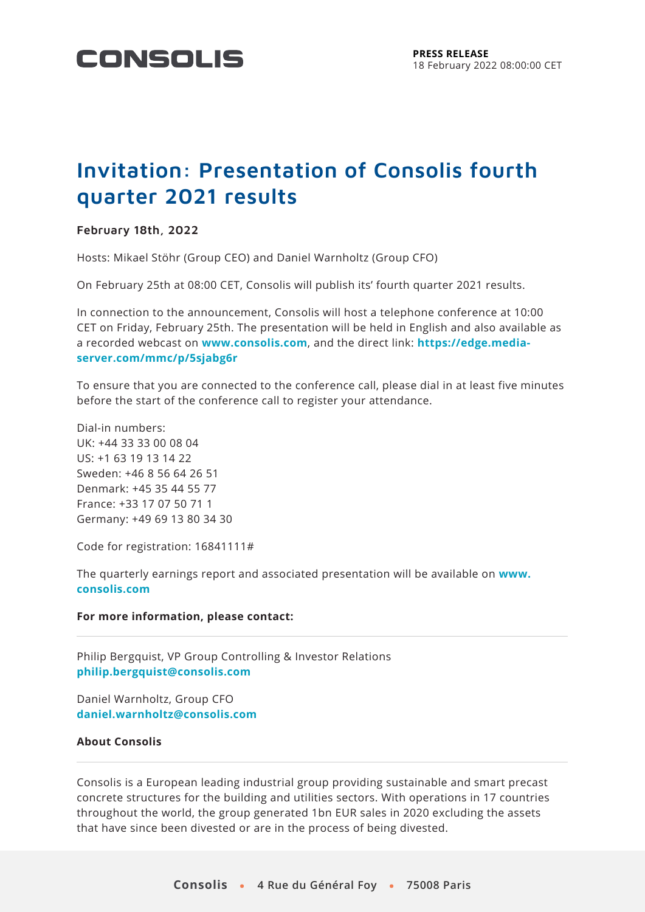

# **Invitation: Presentation of Consolis fourth quarter 2021 results**

## **February 18th, 2022**

Hosts: Mikael Stöhr (Group CEO) and Daniel Warnholtz (Group CFO)

On February 25th at 08:00 CET, Consolis will publish its' fourth quarter 2021 results.

In connection to the announcement, Consolis will host a telephone conference at 10:00 CET on Friday, February 25th. The presentation will be held in English and also available as a recorded webcast on **[www.consolis.com](http://www.consolis.com/)**, and the direct link: **[https://edge.media](https://edge.media-server.com/mmc/p/5sjabg6r)[server.com/mmc/p/5sjabg6r](https://edge.media-server.com/mmc/p/5sjabg6r)**

To ensure that you are connected to the conference call, please dial in at least five minutes before the start of the conference call to register your attendance.

Dial-in numbers: UK: +44 33 33 00 08 04 US: +1 63 19 13 14 22 Sweden: +46 8 56 64 26 51 Denmark: +45 35 44 55 77 France: +33 17 07 50 71 1 Germany: +49 69 13 80 34 30

Code for registration: 16841111#

The quarterly earnings report and associated presentation will be available on **[www.](http://www.consolis.com/) [consolis.com](http://www.consolis.com/)**

#### **For more information, please contact:**

Philip Bergquist, VP Group Controlling & Investor Relations **[philip.bergquist@consolis.com](mailto:philip.bergquist@consolis.com)**

Daniel Warnholtz, Group CFO **[daniel.warnholtz@consolis.com](mailto:daniel.warnholtz@consolis.com)**

### **About Consolis**

Consolis is a European leading industrial group providing sustainable and smart precast concrete structures for the building and utilities sectors. With operations in 17 countries throughout the world, the group generated 1bn EUR sales in 2020 excluding the assets that have since been divested or are in the process of being divested.